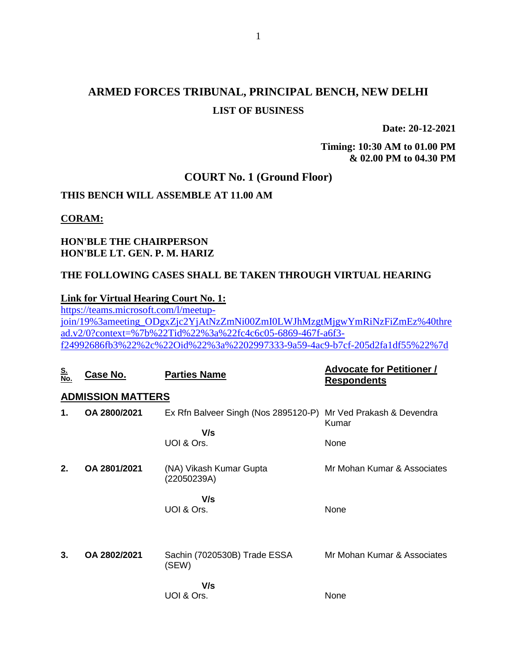## **ARMED FORCES TRIBUNAL, PRINCIPAL BENCH, NEW DELHI LIST OF BUSINESS**

**Date: 20-12-2021**

**Timing: 10:30 AM to 01.00 PM & 02.00 PM to 04.30 PM**

#### **COURT No. 1 (Ground Floor)**

### **THIS BENCH WILL ASSEMBLE AT 11.00 AM**

#### **CORAM:**

### **HON'BLE THE CHAIRPERSON HON'BLE LT. GEN. P. M. HARIZ**

### **THE FOLLOWING CASES SHALL BE TAKEN THROUGH VIRTUAL HEARING**

#### **Link for Virtual Hearing Court No. 1:**

[https://teams.microsoft.com/l/meetup](https://teams.microsoft.com/l/meetup-join/19%3ameeting_ODgxZjc2YjAtNzZmNi00ZmI0LWJhMzgtMjgwYmRiNzFiZmEz%40thread.v2/0?context=%7b%22Tid%22%3a%22fc4c6c05-6869-467f-a6f3-f24992686fb3%22%2c%22Oid%22%3a%2202997333-9a59-4ac9-b7cf-205d2fa1df55%22%7d)[join/19%3ameeting\\_ODgxZjc2YjAtNzZmNi00ZmI0LWJhMzgtMjgwYmRiNzFiZmEz%40thre](https://teams.microsoft.com/l/meetup-join/19%3ameeting_ODgxZjc2YjAtNzZmNi00ZmI0LWJhMzgtMjgwYmRiNzFiZmEz%40thread.v2/0?context=%7b%22Tid%22%3a%22fc4c6c05-6869-467f-a6f3-f24992686fb3%22%2c%22Oid%22%3a%2202997333-9a59-4ac9-b7cf-205d2fa1df55%22%7d) [ad.v2/0?context=%7b%22Tid%22%3a%22fc4c6c05-6869-467f-a6f3](https://teams.microsoft.com/l/meetup-join/19%3ameeting_ODgxZjc2YjAtNzZmNi00ZmI0LWJhMzgtMjgwYmRiNzFiZmEz%40thread.v2/0?context=%7b%22Tid%22%3a%22fc4c6c05-6869-467f-a6f3-f24992686fb3%22%2c%22Oid%22%3a%2202997333-9a59-4ac9-b7cf-205d2fa1df55%22%7d) [f24992686fb3%22%2c%22Oid%22%3a%2202997333-9a59-4ac9-b7cf-205d2fa1df55%22%7d](https://teams.microsoft.com/l/meetup-join/19%3ameeting_ODgxZjc2YjAtNzZmNi00ZmI0LWJhMzgtMjgwYmRiNzFiZmEz%40thread.v2/0?context=%7b%22Tid%22%3a%22fc4c6c05-6869-467f-a6f3-f24992686fb3%22%2c%22Oid%22%3a%2202997333-9a59-4ac9-b7cf-205d2fa1df55%22%7d)

| <u>S.<br/>No.</u> | Case No.                 | <b>Parties Name</b>                                            | <b>Advocate for Petitioner /</b><br><b>Respondents</b> |
|-------------------|--------------------------|----------------------------------------------------------------|--------------------------------------------------------|
|                   | <b>ADMISSION MATTERS</b> |                                                                |                                                        |
| 1.                | OA 2800/2021             | Ex Rfn Balveer Singh (Nos 2895120-P) Mr Ved Prakash & Devendra | Kumar                                                  |
|                   |                          | V/s<br>UOI & Ors.                                              | None                                                   |
| 2.                | OA 2801/2021             | (NA) Vikash Kumar Gupta<br>(22050239A)                         | Mr Mohan Kumar & Associates                            |
|                   |                          | V/s<br>UOI & Ors.                                              | None                                                   |
| 3.                | OA 2802/2021             | Sachin (7020530B) Trade ESSA<br>(SEW)                          | Mr Mohan Kumar & Associates                            |
|                   |                          | V/s<br>UOI & Ors.                                              | None                                                   |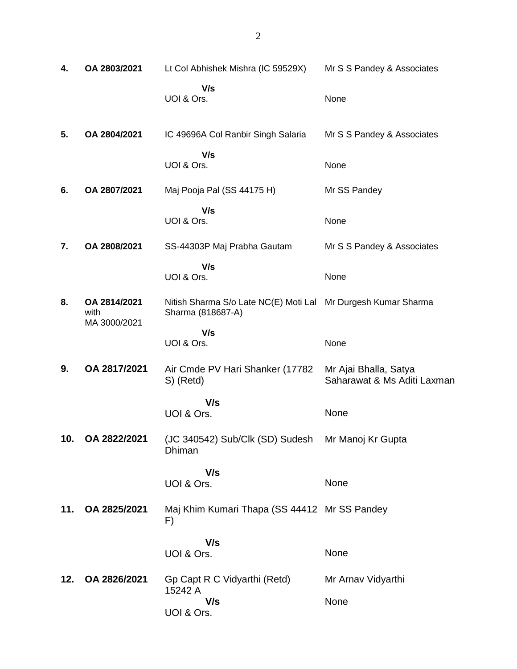| 4.  | OA 2803/2021                         | Lt Col Abhishek Mishra (IC 59529X)                                                 | Mr S S Pandey & Associates                           |
|-----|--------------------------------------|------------------------------------------------------------------------------------|------------------------------------------------------|
|     |                                      | V/s<br>UOI & Ors.                                                                  | None                                                 |
| 5.  | OA 2804/2021                         | IC 49696A Col Ranbir Singh Salaria                                                 | Mr S S Pandey & Associates                           |
|     |                                      | V/s<br>UOI & Ors.                                                                  | None                                                 |
| 6.  | OA 2807/2021                         | Maj Pooja Pal (SS 44175 H)                                                         | Mr SS Pandey                                         |
|     |                                      | V/s<br>UOI & Ors.                                                                  | None                                                 |
| 7.  | OA 2808/2021                         | SS-44303P Maj Prabha Gautam                                                        | Mr S S Pandey & Associates                           |
|     |                                      | V/s<br>UOI & Ors.                                                                  | None                                                 |
| 8.  | OA 2814/2021<br>with<br>MA 3000/2021 | Nitish Sharma S/o Late NC(E) Moti Lal Mr Durgesh Kumar Sharma<br>Sharma (818687-A) |                                                      |
|     |                                      | V/s<br>UOI & Ors.                                                                  | None                                                 |
| 9.  | OA 2817/2021                         | Air Cmde PV Hari Shanker (17782)<br>S) (Retd)                                      | Mr Ajai Bhalla, Satya<br>Saharawat & Ms Aditi Laxman |
|     |                                      | V/s<br>UOI & Ors.                                                                  | None                                                 |
| 10. | OA 2822/2021                         | (JC 340542) Sub/Clk (SD) Sudesh Mr Manoj Kr Gupta<br>Dhiman                        |                                                      |
|     |                                      | V/s<br>UOI & Ors.                                                                  | None                                                 |
| 11. | OA 2825/2021                         | Maj Khim Kumari Thapa (SS 44412 Mr SS Pandey<br>F)                                 |                                                      |
|     |                                      | V/s<br>UOI & Ors.                                                                  | None                                                 |
| 12. | OA 2826/2021                         | Gp Capt R C Vidyarthi (Retd)<br>15242 A                                            | Mr Arnav Vidyarthi                                   |
|     |                                      | V/s<br>UOI & Ors.                                                                  | None                                                 |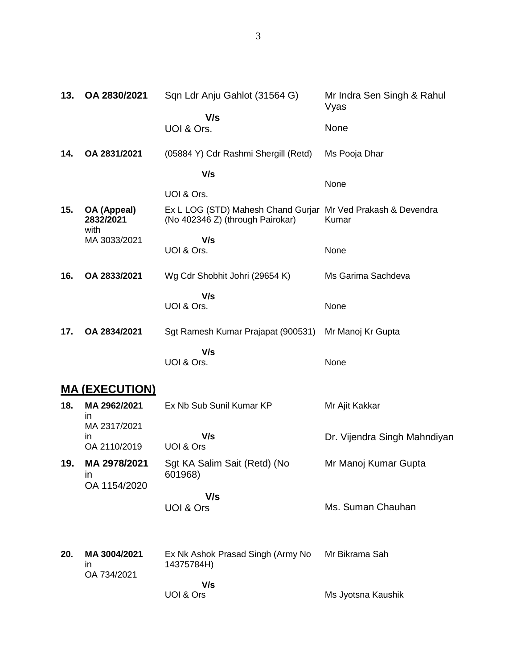| 13. | OA 2830/2021                     | Sqn Ldr Anju Gahlot (31564 G)                                                                    | Mr Indra Sen Singh & Rahul<br>Vyas |
|-----|----------------------------------|--------------------------------------------------------------------------------------------------|------------------------------------|
|     |                                  | V/s<br>UOI & Ors.                                                                                | <b>None</b>                        |
| 14. | OA 2831/2021                     | (05884 Y) Cdr Rashmi Shergill (Retd)                                                             | Ms Pooja Dhar                      |
|     |                                  | V/s<br>UOI & Ors.                                                                                | None                               |
| 15. | OA (Appeal)<br>2832/2021<br>with | Ex L LOG (STD) Mahesh Chand Gurjar Mr Ved Prakash & Devendra<br>(No 402346 Z) (through Pairokar) | Kumar                              |
|     | MA 3033/2021                     | V/s<br>UOI & Ors.                                                                                | None                               |
| 16. | OA 2833/2021                     | Wg Cdr Shobhit Johri (29654 K)                                                                   | Ms Garima Sachdeva                 |
|     |                                  | V/s<br>UOI & Ors.                                                                                | None                               |
| 17. | OA 2834/2021                     | Sgt Ramesh Kumar Prajapat (900531)                                                               | Mr Manoj Kr Gupta                  |
|     |                                  | V/s<br>UOI & Ors.                                                                                | None                               |

# **MA (EXECUTION)**

| 18. | MA 2962/2021<br>in<br>MA 2317/2021           | Ex Nb Sub Sunil Kumar KP                        | Mr Ajit Kakkar               |
|-----|----------------------------------------------|-------------------------------------------------|------------------------------|
|     | in.<br>OA 2110/2019                          | V/s<br>UOI & Ors                                | Dr. Vijendra Singh Mahndiyan |
| 19. | MA 2978/2021<br>$\mathsf{I}$<br>OA 1154/2020 | Sgt KA Salim Sait (Retd) (No<br>601968)         | Mr Manoj Kumar Gupta         |
|     |                                              | V/s<br>UOI & Ors                                | Ms. Suman Chauhan            |
| 20. | MA 3004/2021<br>ın<br>OA 734/2021            | Ex Nk Ashok Prasad Singh (Army No<br>14375784H) | Mr Bikrama Sah               |
|     |                                              | V/s                                             |                              |
|     |                                              | UOI & Ors                                       | Ms Jyotsna Kaushik           |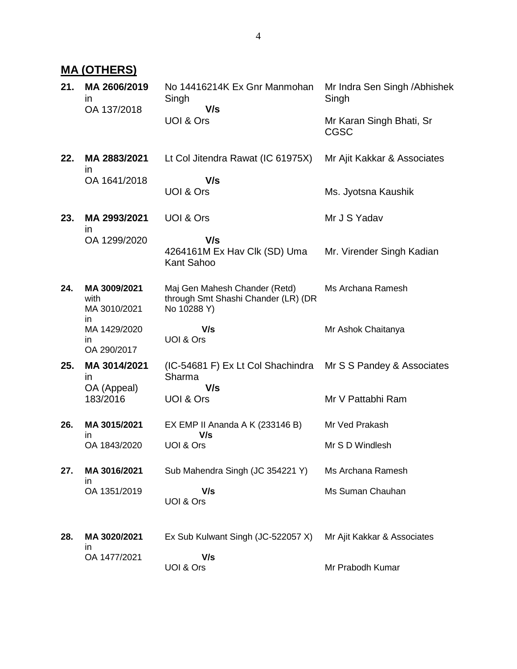## **MA (OTHERS)**

| 21. | MA 2606/2019<br><i>in</i><br>OA 137/2018 | No 14416214K Ex Gnr Manmohan<br>Singh<br>V/s<br>UOI & Ors                           | Mr Indra Sen Singh / Abhishek<br>Singh<br>Mr Karan Singh Bhati, Sr<br><b>CGSC</b> |
|-----|------------------------------------------|-------------------------------------------------------------------------------------|-----------------------------------------------------------------------------------|
| 22. | MA 2883/2021<br><i>in</i>                | Lt Col Jitendra Rawat (IC 61975X)                                                   | Mr Ajit Kakkar & Associates                                                       |
|     | OA 1641/2018                             | V/s<br>UOI & Ors                                                                    | Ms. Jyotsna Kaushik                                                               |
| 23. | MA 2993/2021<br>$\mathsf{I}$             | UOI & Ors                                                                           | Mr J S Yadav                                                                      |
|     | OA 1299/2020                             | V/s<br>4264161M Ex Hav Clk (SD) Uma<br>Kant Sahoo                                   | Mr. Virender Singh Kadian                                                         |
| 24. | MA 3009/2021<br>with<br>MA 3010/2021     | Maj Gen Mahesh Chander (Retd)<br>through Smt Shashi Chander (LR) (DR<br>No 10288 Y) | Ms Archana Ramesh                                                                 |
|     | in<br>MA 1429/2020<br>in.<br>OA 290/2017 | V/s<br>UOI & Ors                                                                    | Mr Ashok Chaitanya                                                                |
| 25. | MA 3014/2021<br><i>in</i>                | (IC-54681 F) Ex Lt Col Shachindra<br>Sharma                                         | Mr S S Pandey & Associates                                                        |
|     | OA (Appeal)<br>183/2016                  | V/s<br>UOI & Ors                                                                    | Mr V Pattabhi Ram                                                                 |
| 26. | MA 3015/2021<br>in                       | EX EMP II Ananda A K (233146 B)<br>V/s                                              | Mr Ved Prakash                                                                    |
|     | OA 1843/2020                             | UOI & Ors                                                                           | Mr S D Windlesh                                                                   |
| 27. | MA 3016/2021<br>in                       | Sub Mahendra Singh (JC 354221 Y)                                                    | Ms Archana Ramesh                                                                 |
|     | OA 1351/2019                             | V/s<br>UOI & Ors                                                                    | Ms Suman Chauhan                                                                  |
| 28. | MA 3020/2021                             | Ex Sub Kulwant Singh (JC-522057 X)                                                  | Mr Ajit Kakkar & Associates                                                       |
|     | in<br>OA 1477/2021                       | V/s<br>UOI & Ors                                                                    | Mr Prabodh Kumar                                                                  |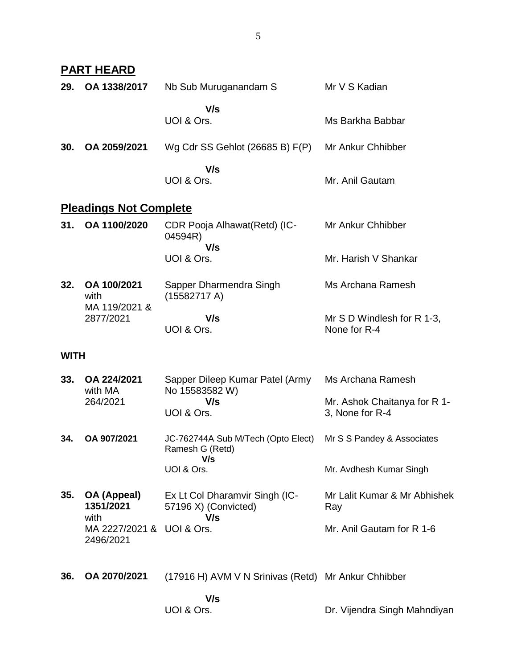|             | <u>PART HEARD</u>                      |                                                                        |                                                                      |
|-------------|----------------------------------------|------------------------------------------------------------------------|----------------------------------------------------------------------|
| 29.         | OA 1338/2017                           | Nb Sub Muruganandam S                                                  | Mr V S Kadian                                                        |
|             |                                        | V/s<br>UOI & Ors.                                                      | Ms Barkha Babbar                                                     |
| 30.         | OA 2059/2021                           | Wg Cdr SS Gehlot $(26685 B) F(P)$                                      | Mr Ankur Chhibber                                                    |
|             |                                        | V/s<br>UOI & Ors.                                                      | Mr. Anil Gautam                                                      |
|             | <b>Pleadings Not Complete</b>          |                                                                        |                                                                      |
| 31.         | OA 1100/2020                           | CDR Pooja Alhawat (Retd) (IC-<br>04594R)                               | Mr Ankur Chhibber                                                    |
|             |                                        | V/s<br>UOI & Ors.                                                      | Mr. Harish V Shankar                                                 |
| 32.         | OA 100/2021<br>with<br>MA 119/2021 &   | Sapper Dharmendra Singh<br>(15582717 A)                                | Ms Archana Ramesh                                                    |
|             | 2877/2021                              | V/s<br>UOI & Ors.                                                      | Mr S D Windlesh for R 1-3,<br>None for R-4                           |
| <b>WITH</b> |                                        |                                                                        |                                                                      |
| 33.         | OA 224/2021<br>with MA<br>264/2021     | Sapper Dileep Kumar Patel (Army<br>No 15583582 W)<br>V/s<br>UOI & Ors. | Ms Archana Ramesh<br>Mr. Ashok Chaitanya for R 1-<br>3, None for R-4 |
| 34.         | OA 907/2021                            | JC-762744A Sub M/Tech (Opto Elect)<br>Ramesh G (Retd)                  | Mr S S Pandey & Associates                                           |
|             |                                        | V/s<br>UOI & Ors.                                                      | Mr. Avdhesh Kumar Singh                                              |
| 35.         | OA (Appeal)<br>1351/2021<br>with       | Ex Lt Col Dharamvir Singh (IC-<br>57196 X) (Convicted)<br>V/s          | Mr Lalit Kumar & Mr Abhishek<br>Ray                                  |
|             | MA 2227/2021 & UOI & Ors.<br>2496/2021 |                                                                        | Mr. Anil Gautam for R 1-6                                            |
| 36.         | OA 2070/2021                           | (17916 H) AVM V N Srinivas (Retd) Mr Ankur Chhibber                    |                                                                      |
|             |                                        | V/s<br>UOI & Ors.                                                      | Dr. Vijendra Singh Mahndiyan                                         |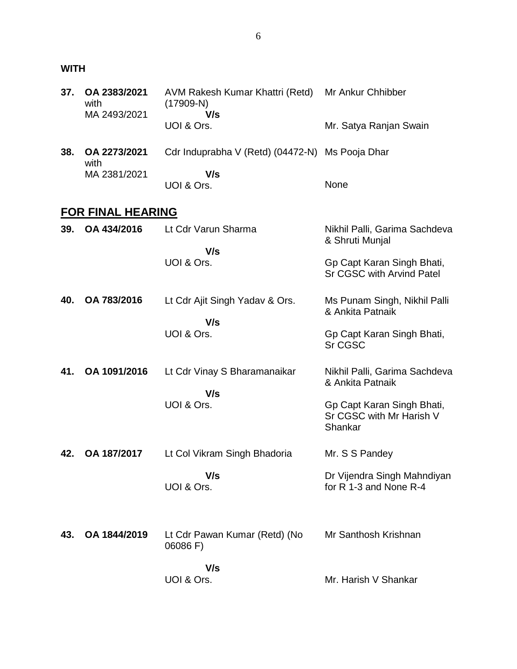## **WITH**

| 37. | OA 2383/2021<br>with<br>MA 2493/2021 | AVM Rakesh Kumar Khattri (Retd)<br>$(17909-N)$<br>V/s | Mr Ankur Chhibber                                                 |
|-----|--------------------------------------|-------------------------------------------------------|-------------------------------------------------------------------|
|     |                                      | UOI & Ors.                                            | Mr. Satya Ranjan Swain                                            |
| 38. | OA 2273/2021<br>with                 | Cdr Induprabha V (Retd) (04472-N) Ms Pooja Dhar       |                                                                   |
|     | MA 2381/2021                         | V/s<br>UOI & Ors.                                     | None                                                              |
|     | <b>FOR FINAL HEARING</b>             |                                                       |                                                                   |
| 39. | OA 434/2016                          | Lt Cdr Varun Sharma                                   | Nikhil Palli, Garima Sachdeva<br>& Shruti Munjal                  |
|     |                                      | V/s<br>UOI & Ors.                                     | Gp Capt Karan Singh Bhati,<br>Sr CGSC with Arvind Patel           |
| 40. | OA 783/2016                          | Lt Cdr Ajit Singh Yadav & Ors.                        | Ms Punam Singh, Nikhil Palli<br>& Ankita Patnaik                  |
|     |                                      | V/s<br>UOI & Ors.                                     | Gp Capt Karan Singh Bhati,<br>Sr CGSC                             |
| 41. | OA 1091/2016                         | Lt Cdr Vinay S Bharamanaikar<br>V/s                   | Nikhil Palli, Garima Sachdeva<br>& Ankita Patnaik                 |
|     |                                      | UOI & Ors.                                            | Gp Capt Karan Singh Bhati,<br>Sr CGSC with Mr Harish V<br>Shankar |
| 42. | OA 187/2017                          | Lt Col Vikram Singh Bhadoria                          | Mr. S S Pandey                                                    |
|     |                                      | V/s<br>UOI & Ors.                                     | Dr Vijendra Singh Mahndiyan<br>for R 1-3 and None R-4             |
| 43. | OA 1844/2019                         | Lt Cdr Pawan Kumar (Retd) (No<br>06086 F)             | Mr Santhosh Krishnan                                              |
|     |                                      | V/s<br>UOI & Ors.                                     | Mr. Harish V Shankar                                              |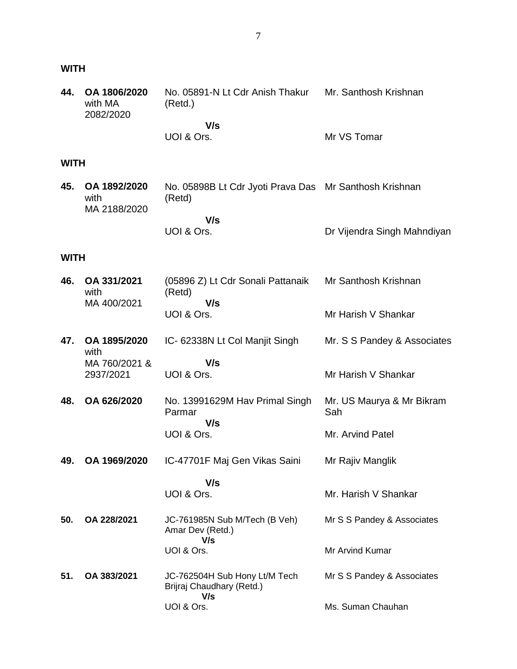## **WITH**

| 44.         | OA 1806/2020<br>with MA<br>2082/2020 | No. 05891-N Lt Cdr Anish Thakur<br>(Retd.) | Mr. Santhosh Krishnan |
|-------------|--------------------------------------|--------------------------------------------|-----------------------|
|             |                                      | V/s<br>UOI & Ors.                          | Mr VS Tomar           |
| <b>WITH</b> |                                      |                                            |                       |

|  | 45. OA 1892/2020<br>with<br>MA 2188/2020 | No. 05898B Lt Cdr Jyoti Prava Das Mr Santhosh Krishnan<br>(Retd) |                             |
|--|------------------------------------------|------------------------------------------------------------------|-----------------------------|
|  |                                          | V/s                                                              |                             |
|  |                                          | UOI & Ors.                                                       | Dr Vijendra Singh Mahndiyan |

## **WITH**

| 46. | OA 331/2021<br>with<br>MA 400/2021 | (05896 Z) Lt Cdr Sonali Pattanaik<br>(Retd)<br>V/s                | Mr Santhosh Krishnan             |
|-----|------------------------------------|-------------------------------------------------------------------|----------------------------------|
|     |                                    | UOI & Ors.                                                        | Mr Harish V Shankar              |
| 47. | OA 1895/2020<br>with               | IC- 62338N Lt Col Manjit Singh                                    | Mr. S S Pandey & Associates      |
|     | MA 760/2021 &<br>2937/2021         | V/s<br>UOI & Ors.                                                 | Mr Harish V Shankar              |
| 48. | OA 626/2020                        | No. 13991629M Hav Primal Singh<br>Parmar<br>V/s                   | Mr. US Maurya & Mr Bikram<br>Sah |
|     |                                    | UOI & Ors.                                                        | Mr. Arvind Patel                 |
| 49. | OA 1969/2020                       | IC-47701F Maj Gen Vikas Saini                                     | Mr Rajiv Manglik                 |
|     |                                    | V/s<br>UOI & Ors.                                                 | Mr. Harish V Shankar             |
| 50. | OA 228/2021                        | JC-761985N Sub M/Tech (B Veh)<br>Amar Dev (Retd.)                 | Mr S S Pandey & Associates       |
|     |                                    | V/s<br>UOI & Ors.                                                 | <b>Mr Arvind Kumar</b>           |
| 51. | OA 383/2021                        | JC-762504H Sub Hony Lt/M Tech<br>Brijraj Chaudhary (Retd.)<br>V/s | Mr S S Pandey & Associates       |
|     |                                    | UOI & Ors.                                                        | Ms. Suman Chauhan                |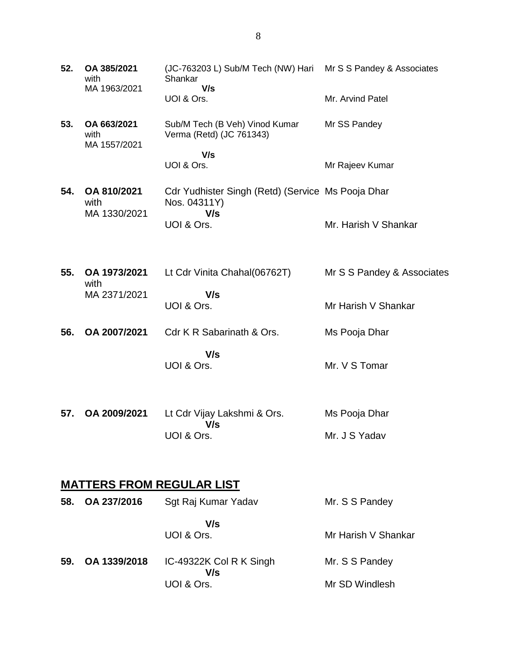| 52. | OA 385/2021<br>with                 | (JC-763203 L) Sub/M Tech (NW) Hari Mr S S Pandey & Associates<br>Shankar<br>V/s |                            |  |  |  |  |
|-----|-------------------------------------|---------------------------------------------------------------------------------|----------------------------|--|--|--|--|
|     | MA 1963/2021                        | UOI & Ors.                                                                      | Mr. Arvind Patel           |  |  |  |  |
| 53. | OA 663/2021<br>with<br>MA 1557/2021 | Sub/M Tech (B Veh) Vinod Kumar<br>Verma (Retd) (JC 761343)                      | Mr SS Pandey               |  |  |  |  |
|     |                                     | V/s<br>UOI & Ors.                                                               | Mr Rajeev Kumar            |  |  |  |  |
| 54. | OA 810/2021<br>with<br>MA 1330/2021 | Cdr Yudhister Singh (Retd) (Service Ms Pooja Dhar<br>Nos. 04311Y)<br>V/s        |                            |  |  |  |  |
|     |                                     | UOI & Ors.                                                                      | Mr. Harish V Shankar       |  |  |  |  |
| 55. | OA 1973/2021                        | Lt Cdr Vinita Chahal(06762T)                                                    | Mr S S Pandey & Associates |  |  |  |  |
|     | with<br>MA 2371/2021                | V/s<br>UOI & Ors.                                                               | Mr Harish V Shankar        |  |  |  |  |
| 56. | OA 2007/2021                        | Cdr K R Sabarinath & Ors.                                                       | Ms Pooja Dhar              |  |  |  |  |
|     |                                     | V/s<br>UOI & Ors.                                                               | Mr. V S Tomar              |  |  |  |  |
| 57. | OA 2009/2021                        | Lt Cdr Vijay Lakshmi & Ors.                                                     | Ms Pooja Dhar              |  |  |  |  |
|     |                                     | V/s<br>UOI & Ors.                                                               | Mr. J S Yadav              |  |  |  |  |
|     | <b>MATTERS FROM REGULAR LIST</b>    |                                                                                 |                            |  |  |  |  |
| 58. | OA 237/2016                         | Sgt Raj Kumar Yadav                                                             | Mr. S S Pandey             |  |  |  |  |
|     |                                     | V/s<br>UOI & Ors.                                                               | Mr Harish V Shankar        |  |  |  |  |
| 59. | OA 1339/2018                        | IC-49322K Col R K Singh<br>V/s                                                  | Mr. S S Pandey             |  |  |  |  |

Mr SD Windlesh

UOI & Ors.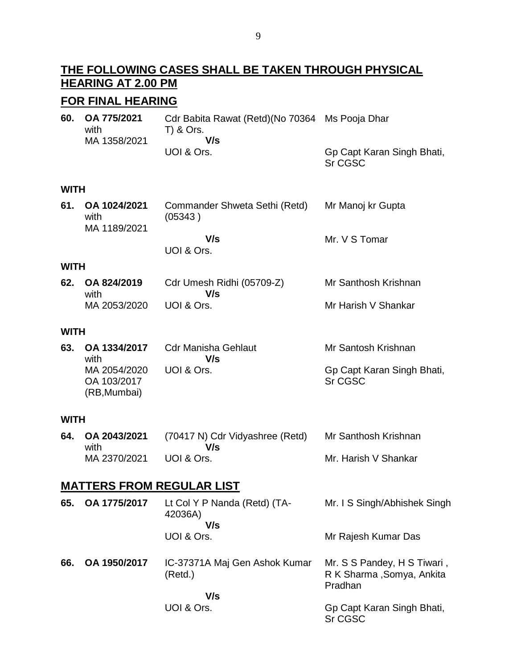## **THE FOLLOWING CASES SHALL BE TAKEN THROUGH PHYSICAL HEARING AT 2.00 PM**

## **FOR FINAL HEARING**

**60. OA 775/2021** with MA 1358/2021 Cdr Babita Rawat (Retd)(No 70364 Ms Pooja Dhar T) & Ors.  **V/s** UOI & Ors. Gp Capt Karan Singh Bhati,

Sr CGSC

### **WITH**

| 61.    OA 1024/2021<br>with<br>MA 1189/2021 | Commander Shweta Sethi (Retd)<br>(05343) | Mr Manoj kr Gupta |  |
|---------------------------------------------|------------------------------------------|-------------------|--|
|                                             | V/s                                      | Mr. V S Tomar     |  |
|                                             | UOI & Ors.                               |                   |  |

#### **WITH**

| 62. OA 824/2019 | Cdr Umesh Ridhi (05709-Z) | Mr Santhosh Krishnan |
|-----------------|---------------------------|----------------------|
| with            | V/s                       |                      |
| MA 2053/2020    | UOI & Ors.                | Mr Harish V Shankar  |

#### **WITH**

| 63. | OA 1334/2017<br>with                        | Cdr Manisha Gehlaut<br>V/s | Mr Santosh Krishnan                   |
|-----|---------------------------------------------|----------------------------|---------------------------------------|
|     | MA 2054/2020<br>OA 103/2017<br>(RB, Mumbai) | UOI & Ors.                 | Gp Capt Karan Singh Bhati,<br>Sr CGSC |

#### **WITH**

| 64. OA 2043/2021 | (70417 N) Cdr Vidyashree (Retd) | Mr Santhosh Krishnan |
|------------------|---------------------------------|----------------------|
| with             | V/s                             |                      |
| MA 2370/2021     | UOI & Ors.                      | Mr. Harish V Shankar |

## **MATTERS FROM REGULAR LIST**

| 65. | OA 1775/2017 | Lt Col Y P Nanda (Retd) (TA-<br>42036A)<br>V/s | Mr. I S Singh/Abhishek Singh                                         |
|-----|--------------|------------------------------------------------|----------------------------------------------------------------------|
|     |              | UOI & Ors.                                     | Mr Rajesh Kumar Das                                                  |
| 66. | OA 1950/2017 | IC-37371A Maj Gen Ashok Kumar<br>(Retd.)       | Mr. S S Pandey, H S Tiwari,<br>R K Sharma , Somya, Ankita<br>Pradhan |
|     |              | V/s<br>UOI & Ors.                              | Gp Capt Karan Singh Bhati,                                           |
|     |              |                                                | Sr CGSC                                                              |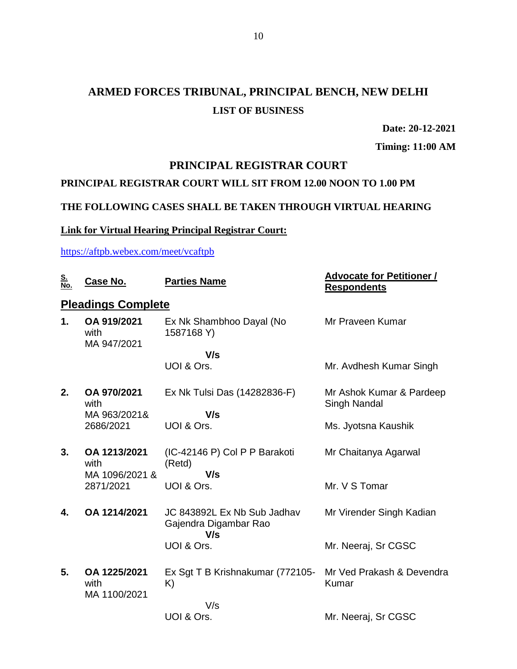## **ARMED FORCES TRIBUNAL, PRINCIPAL BENCH, NEW DELHI LIST OF BUSINESS**

**Date: 20-12-2021**

**Timing: 11:00 AM**

## **PRINCIPAL REGISTRAR COURT**

## **PRINCIPAL REGISTRAR COURT WILL SIT FROM 12.00 NOON TO 1.00 PM**

## **THE FOLLOWING CASES SHALL BE TAKEN THROUGH VIRTUAL HEARING**

#### **Link for Virtual Hearing Principal Registrar Court:**

<https://aftpb.webex.com/meet/vcaftpb>

| <u>S.</u><br>No. | Case No.                             | <b>Parties Name</b>                                         | <b>Advocate for Petitioner /</b><br><b>Respondents</b> |
|------------------|--------------------------------------|-------------------------------------------------------------|--------------------------------------------------------|
|                  | <b>Pleadings Complete</b>            |                                                             |                                                        |
| 1.               | OA 919/2021<br>with<br>MA 947/2021   | Ex Nk Shambhoo Dayal (No<br>1587168 Y)                      | Mr Praveen Kumar                                       |
|                  |                                      | V/s                                                         |                                                        |
|                  |                                      | UOI & Ors.                                                  | Mr. Avdhesh Kumar Singh                                |
| 2.               | OA 970/2021<br>with                  | Ex Nk Tulsi Das (14282836-F)                                | Mr Ashok Kumar & Pardeep<br>Singh Nandal               |
|                  | MA 963/2021&<br>2686/2021            | V/s<br>UOI & Ors.                                           | Ms. Jyotsna Kaushik                                    |
| 3.               | OA 1213/2021<br>with                 | (IC-42146 P) Col P P Barakoti<br>(Retd)<br>V/s              | Mr Chaitanya Agarwal                                   |
|                  | MA 1096/2021 &<br>2871/2021          | UOI & Ors.                                                  | Mr. V S Tomar                                          |
| 4.               | OA 1214/2021                         | JC 843892L Ex Nb Sub Jadhav<br>Gajendra Digambar Rao<br>V/s | Mr Virender Singh Kadian                               |
|                  |                                      | UOI & Ors.                                                  | Mr. Neeraj, Sr CGSC                                    |
| 5.               | OA 1225/2021<br>with<br>MA 1100/2021 | Ex Sgt T B Krishnakumar (772105-<br>K)                      | Mr Ved Prakash & Devendra<br>Kumar                     |
|                  |                                      | V/s                                                         |                                                        |
|                  |                                      | UOI & Ors.                                                  | Mr. Neeraj, Sr CGSC                                    |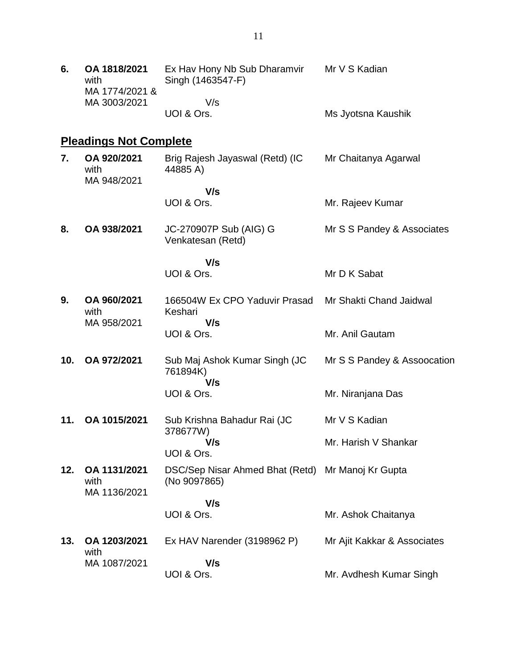| 6.  | OA 1818/2021<br>with<br>MA 1774/2021 & | Ex Hav Hony Nb Sub Dharamvir<br>Singh (1463547-F)                 | Mr V S Kadian               |
|-----|----------------------------------------|-------------------------------------------------------------------|-----------------------------|
|     | MA 3003/2021                           | V/s<br>UOI & Ors.                                                 | Ms Jyotsna Kaushik          |
|     | <b>Pleadings Not Complete</b>          |                                                                   |                             |
| 7.  | OA 920/2021<br>with<br>MA 948/2021     | Brig Rajesh Jayaswal (Retd) (IC<br>44885 A)                       | Mr Chaitanya Agarwal        |
|     |                                        | V/s                                                               |                             |
|     |                                        | UOI & Ors.                                                        | Mr. Rajeev Kumar            |
| 8.  | OA 938/2021                            | JC-270907P Sub (AIG) G<br>Venkatesan (Retd)                       | Mr S S Pandey & Associates  |
|     |                                        | V/s                                                               |                             |
|     |                                        | UOI & Ors.                                                        | Mr D K Sabat                |
| 9.  | OA 960/2021<br>with                    | 166504W Ex CPO Yaduvir Prasad<br>Keshari                          | Mr Shakti Chand Jaidwal     |
|     | MA 958/2021                            | V/s<br>UOI & Ors.                                                 | Mr. Anil Gautam             |
| 10. | OA 972/2021                            | Sub Maj Ashok Kumar Singh (JC<br>761894K)<br>V/s                  | Mr S S Pandey & Assoocation |
|     |                                        | UOI & Ors.                                                        | Mr. Niranjana Das           |
| 11. | OA 1015/2021                           | Sub Krishna Bahadur Rai (JC                                       | Mr V S Kadian               |
|     |                                        | 378677W)<br>V/s                                                   | Mr. Harish V Shankar        |
|     |                                        | UOI & Ors.                                                        |                             |
| 12. | OA 1131/2021<br>with<br>MA 1136/2021   | DSC/Sep Nisar Ahmed Bhat (Retd) Mr Manoj Kr Gupta<br>(No 9097865) |                             |
|     |                                        | V/s                                                               |                             |
|     |                                        | UOI & Ors.                                                        | Mr. Ashok Chaitanya         |
| 13. | OA 1203/2021<br>with                   | Ex HAV Narender (3198962 P)                                       | Mr Ajit Kakkar & Associates |
|     | MA 1087/2021                           | V/s                                                               |                             |
|     |                                        | UOI & Ors.                                                        | Mr. Avdhesh Kumar Singh     |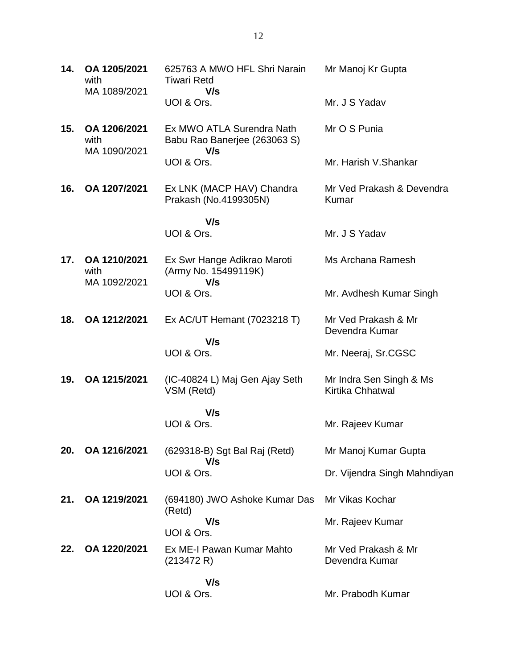| 14. | OA 1205/2021<br>with<br>MA 1089/2021 | 625763 A MWO HFL Shri Narain<br><b>Tiwari Retd</b><br>V/s        | Mr Manoj Kr Gupta                           |
|-----|--------------------------------------|------------------------------------------------------------------|---------------------------------------------|
|     |                                      | UOI & Ors.                                                       | Mr. J S Yadav                               |
| 15. | OA 1206/2021<br>with<br>MA 1090/2021 | Ex MWO ATLA Surendra Nath<br>Babu Rao Banerjee (263063 S)<br>V/s | Mr O S Punia                                |
|     |                                      | UOI & Ors.                                                       | Mr. Harish V.Shankar                        |
| 16. | OA 1207/2021                         | Ex LNK (MACP HAV) Chandra<br>Prakash (No.4199305N)               | Mr Ved Prakash & Devendra<br>Kumar          |
|     |                                      | V/s                                                              |                                             |
|     |                                      | UOI & Ors.                                                       | Mr. J S Yadav                               |
| 17. | OA 1210/2021<br>with<br>MA 1092/2021 | Ex Swr Hange Adikrao Maroti<br>(Army No. 15499119K)<br>V/s       | Ms Archana Ramesh                           |
|     |                                      | UOI & Ors.                                                       | Mr. Avdhesh Kumar Singh                     |
| 18. | OA 1212/2021                         | Ex AC/UT Hemant (7023218 T)                                      | Mr Ved Prakash & Mr<br>Devendra Kumar       |
|     |                                      | V/s<br>UOI & Ors.                                                | Mr. Neeraj, Sr.CGSC                         |
| 19. | OA 1215/2021                         | (IC-40824 L) Maj Gen Ajay Seth<br>VSM (Retd)                     | Mr Indra Sen Singh & Ms<br>Kirtika Chhatwal |
|     |                                      | V/s                                                              |                                             |
|     |                                      | UOI & Ors.                                                       | Mr. Rajeev Kumar                            |
| 20. | OA 1216/2021                         | (629318-B) Sgt Bal Raj (Retd)<br>V/s                             | Mr Manoj Kumar Gupta                        |
|     |                                      | UOI & Ors.                                                       | Dr. Vijendra Singh Mahndiyan                |
| 21. | OA 1219/2021                         | (694180) JWO Ashoke Kumar Das<br>(Retd)                          | Mr Vikas Kochar                             |
|     |                                      | V/s<br>UOI & Ors.                                                | Mr. Rajeev Kumar                            |
| 22. | OA 1220/2021                         | Ex ME-I Pawan Kumar Mahto<br>(213472 R)                          | Mr Ved Prakash & Mr<br>Devendra Kumar       |
|     |                                      | V/s<br>UOI & Ors.                                                | Mr. Prabodh Kumar                           |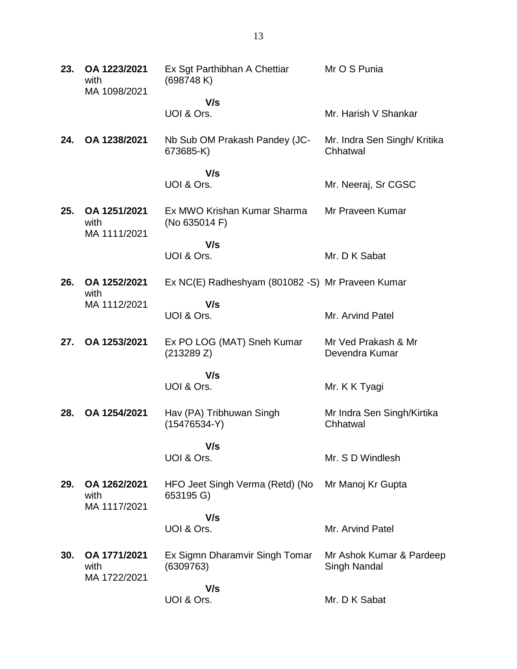| 23. | OA 1223/2021<br>with<br>MA 1098/2021 | Ex Sgt Parthibhan A Chettiar<br>(698748 K)        | Mr O S Punia                             |
|-----|--------------------------------------|---------------------------------------------------|------------------------------------------|
|     |                                      | V/s                                               |                                          |
|     |                                      | UOI & Ors.                                        | Mr. Harish V Shankar                     |
| 24. | OA 1238/2021                         | Nb Sub OM Prakash Pandey (JC-<br>673685-K)        | Mr. Indra Sen Singh/ Kritika<br>Chhatwal |
|     |                                      | V/s                                               |                                          |
|     |                                      | UOI & Ors.                                        | Mr. Neeraj, Sr CGSC                      |
| 25. | OA 1251/2021<br>with<br>MA 1111/2021 | Ex MWO Krishan Kumar Sharma<br>(No 635014 F)      | Mr Praveen Kumar                         |
|     |                                      | V/s                                               |                                          |
|     |                                      | UOI & Ors.                                        | Mr. D K Sabat                            |
| 26. | OA 1252/2021<br>with                 | Ex NC(E) Radheshyam (801082 - S) Mr Praveen Kumar |                                          |
|     | MA 1112/2021                         | V/s                                               |                                          |
|     |                                      | UOI & Ors.                                        | Mr. Arvind Patel                         |
| 27. | OA 1253/2021                         | Ex PO LOG (MAT) Sneh Kumar<br>(213289 Z)          | Mr Ved Prakash & Mr<br>Devendra Kumar    |
|     |                                      | V/s                                               |                                          |
|     |                                      | UOI & Ors.                                        | Mr. K K Tyagi                            |
| 28. | OA 1254/2021                         | Hav (PA) Tribhuwan Singh<br>$(15476534-Y)$        | Mr Indra Sen Singh/Kirtika<br>Chhatwal   |
|     |                                      | V/s                                               |                                          |
|     |                                      | UOI & Ors.                                        | Mr. S D Windlesh                         |
| 29. | OA 1262/2021<br>with<br>MA 1117/2021 | HFO Jeet Singh Verma (Retd) (No<br>653195 G)      | Mr Manoj Kr Gupta                        |
|     |                                      | V/s                                               |                                          |
|     |                                      | UOI & Ors.                                        | Mr. Arvind Patel                         |
| 30. | OA 1771/2021<br>with<br>MA 1722/2021 | Ex Sigmn Dharamvir Singh Tomar<br>(6309763)       | Mr Ashok Kumar & Pardeep<br>Singh Nandal |
|     |                                      | V/s                                               |                                          |
|     |                                      | UOI & Ors.                                        | Mr. D K Sabat                            |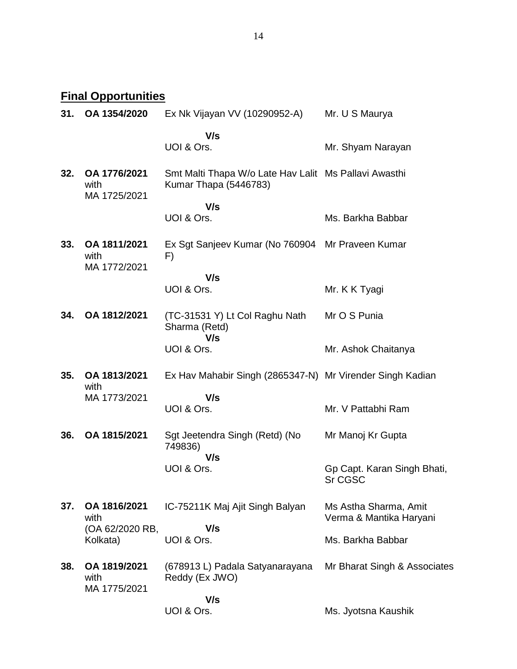**Final Opportunities** 

| 31. | OA 1354/2020                         | Ex Nk Vijayan VV (10290952-A)                                                  | Mr. U S Maurya                                   |
|-----|--------------------------------------|--------------------------------------------------------------------------------|--------------------------------------------------|
|     |                                      | V/s<br>UOI & Ors.                                                              | Mr. Shyam Narayan                                |
| 32. | OA 1776/2021<br>with<br>MA 1725/2021 | Smt Malti Thapa W/o Late Hav Lalit Ms Pallavi Awasthi<br>Kumar Thapa (5446783) |                                                  |
|     |                                      | V/s<br>UOI & Ors.                                                              | Ms. Barkha Babbar                                |
| 33. | OA 1811/2021<br>with<br>MA 1772/2021 | Ex Sgt Sanjeev Kumar (No 760904 Mr Praveen Kumar<br>F)                         |                                                  |
|     |                                      | V/s<br>UOI & Ors.                                                              | Mr. K K Tyagi                                    |
| 34. | OA 1812/2021                         | (TC-31531 Y) Lt Col Raghu Nath<br>Sharma (Retd)<br>V/s                         | Mr O S Punia                                     |
|     |                                      | UOI & Ors.                                                                     | Mr. Ashok Chaitanya                              |
| 35. | OA 1813/2021<br>with                 | Ex Hav Mahabir Singh (2865347-N) Mr Virender Singh Kadian                      |                                                  |
|     | MA 1773/2021                         | V/s<br>UOI & Ors.                                                              | Mr. V Pattabhi Ram                               |
| 36. | OA 1815/2021                         | Sgt Jeetendra Singh (Retd) (No<br>749836)<br>V/s                               | Mr Manoj Kr Gupta                                |
|     |                                      | UOI & Ors.                                                                     | Gp Capt. Karan Singh Bhati,<br>Sr CGSC           |
| 37. | OA 1816/2021<br>with                 | IC-75211K Maj Ajit Singh Balyan                                                | Ms Astha Sharma, Amit<br>Verma & Mantika Haryani |
|     | (OA 62/2020 RB,<br>Kolkata)          | V/s<br>UOI & Ors.                                                              | Ms. Barkha Babbar                                |
| 38. | OA 1819/2021<br>with<br>MA 1775/2021 | (678913 L) Padala Satyanarayana<br>Reddy (Ex JWO)                              | Mr Bharat Singh & Associates                     |
|     |                                      | V/s<br>UOI & Ors.                                                              | Ms. Jyotsna Kaushik                              |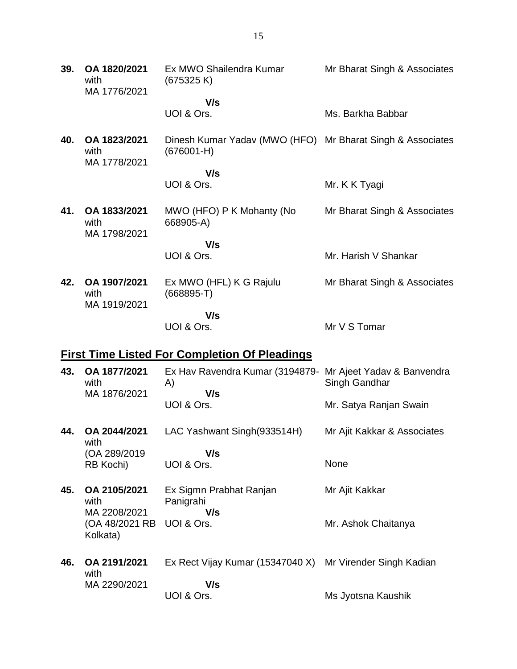| 39. | OA 1820/2021<br>with<br>MA 1776/2021 | Ex MWO Shailendra Kumar<br>(675325 K)                                      | Mr Bharat Singh & Associates |
|-----|--------------------------------------|----------------------------------------------------------------------------|------------------------------|
|     |                                      | V/s                                                                        |                              |
|     |                                      | UOI & Ors.                                                                 | Ms. Barkha Babbar            |
| 40. | OA 1823/2021<br>with<br>MA 1778/2021 | Dinesh Kumar Yadav (MWO (HFO) Mr Bharat Singh & Associates<br>$(676001-H)$ |                              |
|     |                                      | V/s                                                                        |                              |
|     |                                      | UOI & Ors.                                                                 | Mr. K K Tyagi                |
| 41. | OA 1833/2021<br>with<br>MA 1798/2021 | MWO (HFO) P K Mohanty (No<br>668905-A)                                     | Mr Bharat Singh & Associates |
|     |                                      | V/s                                                                        |                              |
|     |                                      | UOI & Ors.                                                                 | Mr. Harish V Shankar         |
| 42. | OA 1907/2021<br>with<br>MA 1919/2021 | Ex MWO (HFL) K G Rajulu<br>$(668895 - T)$                                  | Mr Bharat Singh & Associates |
|     |                                      | V/s                                                                        |                              |
|     |                                      | UOI & Ors.                                                                 | Mr V S Tomar                 |
|     |                                      |                                                                            |                              |

# **First Time Listed For Completion Of Pleadings**

| 43. | OA 1877/2021<br>with<br>MA 1876/2021 | Ex Hav Ravendra Kumar (3194879 - Mr Ajeet Yadav & Banvendra<br>A)<br>V/s | Singh Gandhar               |
|-----|--------------------------------------|--------------------------------------------------------------------------|-----------------------------|
|     |                                      | UOI & Ors.                                                               | Mr. Satya Ranjan Swain      |
| 44. | OA 2044/2021<br>with                 | LAC Yashwant Singh(933514H)                                              | Mr Ajit Kakkar & Associates |
|     | (OA 289/2019)                        | V/s                                                                      |                             |
|     | RB Kochi)                            | UOI & Ors.                                                               | None                        |
| 45. | OA 2105/2021<br>with<br>MA 2208/2021 | Ex Sigmn Prabhat Ranjan<br>Panigrahi<br>V/s                              | Mr Ajit Kakkar              |
|     | (OA 48/2021 RB<br>Kolkata)           | UOI & Ors.                                                               | Mr. Ashok Chaitanya         |
| 46. | OA 2191/2021<br>with                 | Ex Rect Vijay Kumar (15347040 X)                                         | Mr Virender Singh Kadian    |
|     | MA 2290/2021                         | V/s                                                                      |                             |
|     |                                      | UOI & Ors.                                                               | Ms Jyotsna Kaushik          |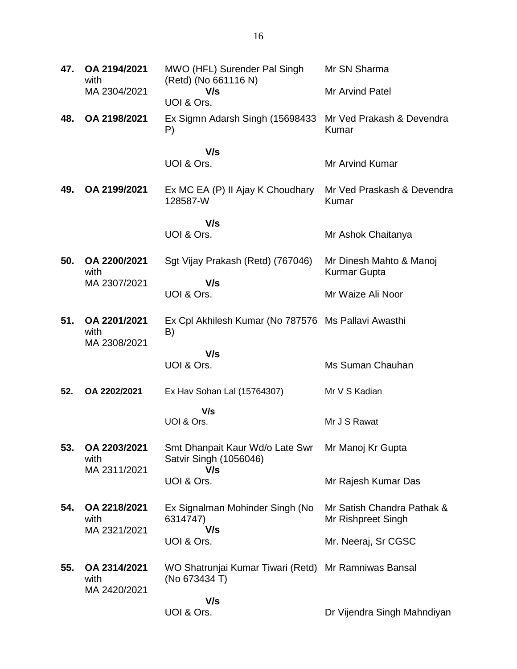| 47. | OA 2194/2021<br>with                 | MWO (HFL) Surender Pal Singh<br>(Retd) (No 661116 N)                  | Mr SN Sharma                                     |
|-----|--------------------------------------|-----------------------------------------------------------------------|--------------------------------------------------|
|     | MA 2304/2021                         | V/s<br>UOI & Ors.                                                     | <b>Mr Arvind Patel</b>                           |
| 48. | OA 2198/2021                         | Ex Sigmn Adarsh Singh (15698433)<br>P)                                | Mr Ved Prakash & Devendra<br>Kumar               |
|     |                                      | V/s                                                                   |                                                  |
|     |                                      | UOI & Ors.                                                            | <b>Mr Arvind Kumar</b>                           |
| 49. | OA 2199/2021                         | Ex MC EA (P) II Ajay K Choudhary<br>128587-W                          | Mr Ved Praskash & Devendra<br>Kumar              |
|     |                                      | V/s                                                                   |                                                  |
|     |                                      | UOI & Ors.                                                            | Mr Ashok Chaitanya                               |
| 50. | OA 2200/2021<br>with                 | Sgt Vijay Prakash (Retd) (767046)                                     | Mr Dinesh Mahto & Manoj<br>Kurmar Gupta          |
|     | MA 2307/2021                         | V/s<br>UOI & Ors.                                                     | Mr Waize Ali Noor                                |
| 51. | OA 2201/2021<br>with<br>MA 2308/2021 | Ex Cpl Akhilesh Kumar (No 787576 Ms Pallavi Awasthi<br>B)             |                                                  |
|     |                                      | V/s                                                                   |                                                  |
|     |                                      | UOI & Ors.                                                            | Ms Suman Chauhan                                 |
| 52. | OA 2202/2021                         | Ex Hav Sohan Lal (15764307)                                           | Mr V S Kadian                                    |
|     |                                      | V/s<br>UOI & Ors.                                                     | Mr J S Rawat                                     |
| 53. | OA 2203/2021<br>with                 | Smt Dhanpait Kaur Wd/o Late Swr<br>Satvir Singh (1056046)             | Mr Manoj Kr Gupta                                |
|     | MA 2311/2021                         | V/s<br>UOI & Ors.                                                     | Mr Rajesh Kumar Das                              |
| 54. | OA 2218/2021<br>with<br>MA 2321/2021 | Ex Signalman Mohinder Singh (No<br>6314747)<br>V/s                    | Mr Satish Chandra Pathak &<br>Mr Rishpreet Singh |
|     |                                      | UOI & Ors.                                                            | Mr. Neeraj, Sr CGSC                              |
| 55. | OA 2314/2021<br>with<br>MA 2420/2021 | WO Shatrunjai Kumar Tiwari (Retd) Mr Ramniwas Bansal<br>(No 673434 T) |                                                  |
|     |                                      | V/s<br>UOI & Ors.                                                     | Dr Vijendra Singh Mahndiyan                      |